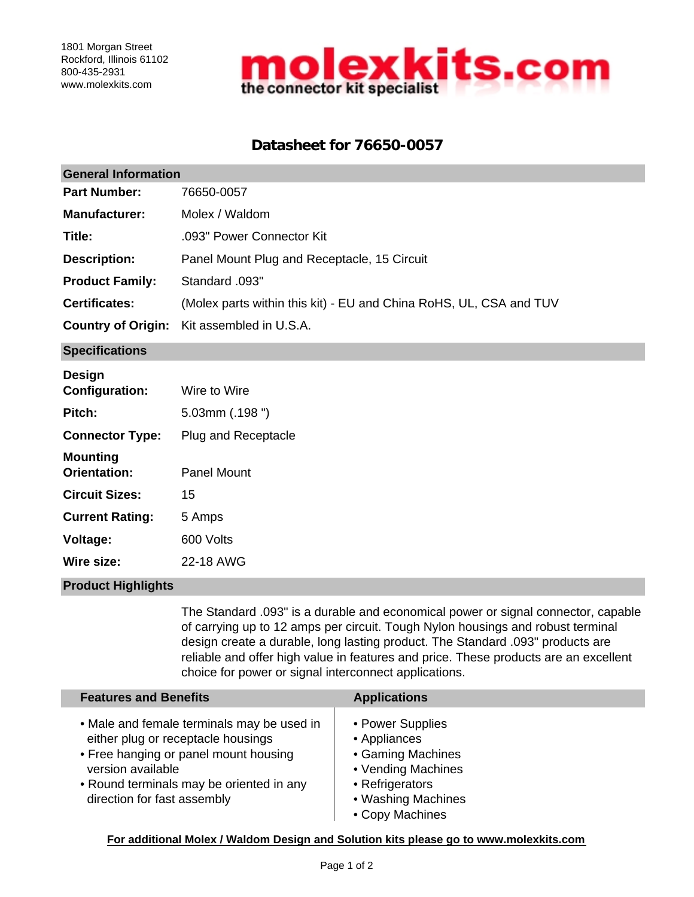

## **Datasheet for 76650-0057**

| <b>General Information</b>             |                                                                    |  |  |  |
|----------------------------------------|--------------------------------------------------------------------|--|--|--|
| <b>Part Number:</b>                    | 76650-0057                                                         |  |  |  |
| <b>Manufacturer:</b>                   | Molex / Waldom                                                     |  |  |  |
| Title:                                 | .093" Power Connector Kit                                          |  |  |  |
| <b>Description:</b>                    | Panel Mount Plug and Receptacle, 15 Circuit                        |  |  |  |
| <b>Product Family:</b>                 | Standard .093"                                                     |  |  |  |
| <b>Certificates:</b>                   | (Molex parts within this kit) - EU and China RoHS, UL, CSA and TUV |  |  |  |
| <b>Country of Origin:</b>              | Kit assembled in U.S.A.                                            |  |  |  |
| <b>Specifications</b>                  |                                                                    |  |  |  |
| <b>Design</b><br><b>Configuration:</b> | Wire to Wire                                                       |  |  |  |
| Pitch:                                 | $5.03$ mm $(.198")$                                                |  |  |  |
| <b>Connector Type:</b>                 | Plug and Receptacle                                                |  |  |  |
| <b>Mounting</b><br><b>Orientation:</b> | <b>Panel Mount</b>                                                 |  |  |  |
| <b>Circuit Sizes:</b>                  | 15                                                                 |  |  |  |
| <b>Current Rating:</b>                 | 5 Amps                                                             |  |  |  |
| Voltage:                               | 600 Volts                                                          |  |  |  |
| Wire size:                             | 22-18 AWG                                                          |  |  |  |

### **Product Highlights**

The Standard .093" is a durable and economical power or signal connector, capable of carrying up to 12 amps per circuit. Tough Nylon housings and robust terminal design create a durable, long lasting product. The Standard .093" products are reliable and offer high value in features and price. These products are an excellent choice for power or signal interconnect applications.

| <b>Features and Benefits</b>                                                                                                                                                                                              | <b>Applications</b>                                                                                                                     |
|---------------------------------------------------------------------------------------------------------------------------------------------------------------------------------------------------------------------------|-----------------------------------------------------------------------------------------------------------------------------------------|
| • Male and female terminals may be used in<br>either plug or receptacle housings<br>• Free hanging or panel mount housing<br>version available<br>• Round terminals may be oriented in any<br>direction for fast assembly | • Power Supplies<br>• Appliances<br>• Gaming Machines<br>• Vending Machines<br>• Refrigerators<br>• Washing Machines<br>• Copy Machines |

**For additional Molex / Waldom Design and Solution kits please go to www.molexkits.com**